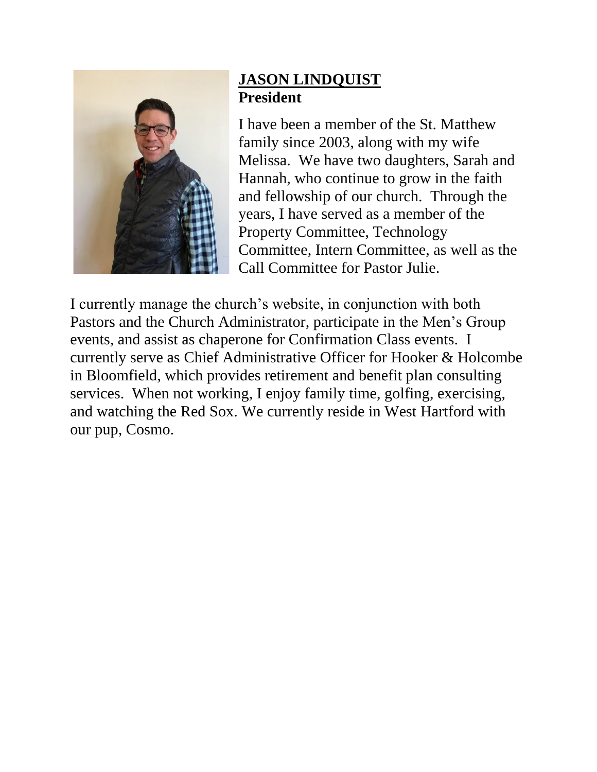

## **JASON LINDQUIST President**

I have been a member of the St. Matthew family since 2003, along with my wife Melissa. We have two daughters, Sarah and Hannah, who continue to grow in the faith and fellowship of our church. Through the years, I have served as a member of the Property Committee, Technology Committee, Intern Committee, as well as the Call Committee for Pastor Julie.

I currently manage the church's website, in conjunction with both Pastors and the Church Administrator, participate in the Men's Group events, and assist as chaperone for Confirmation Class events. I currently serve as Chief Administrative Officer for Hooker & Holcombe in Bloomfield, which provides retirement and benefit plan consulting services. When not working, I enjoy family time, golfing, exercising, and watching the Red Sox. We currently reside in West Hartford with our pup, Cosmo.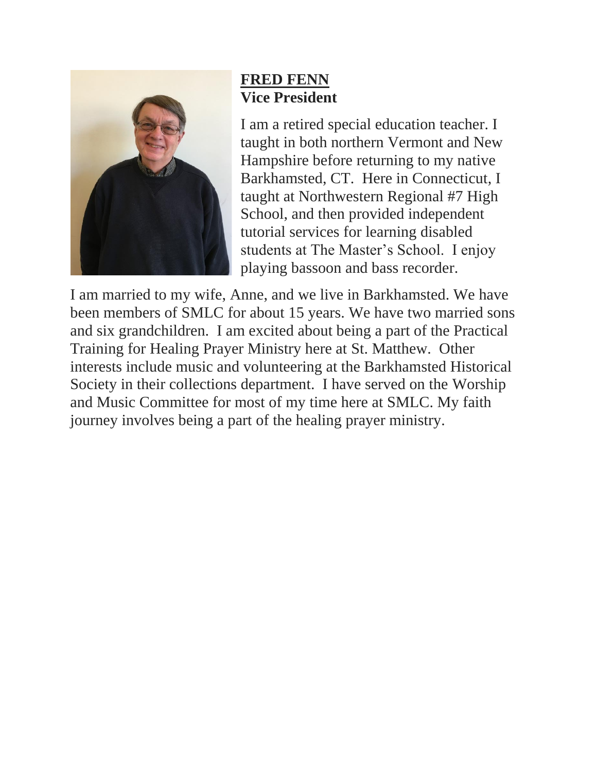

### **FRED FENN Vice President**

I am a retired special education teacher. I taught in both northern Vermont and New Hampshire before returning to my native Barkhamsted, CT. Here in Connecticut, I taught at Northwestern Regional #7 High School, and then provided independent tutorial services for learning disabled students at The Master's School. I enjoy playing bassoon and bass recorder.

I am married to my wife, Anne, and we live in Barkhamsted. We have been members of SMLC for about 15 years. We have two married sons and six grandchildren. I am excited about being a part of the Practical Training for Healing Prayer Ministry here at St. Matthew. Other interests include music and volunteering at the Barkhamsted Historical Society in their collections department. I have served on the Worship and Music Committee for most of my time here at SMLC. My faith journey involves being a part of the healing prayer ministry.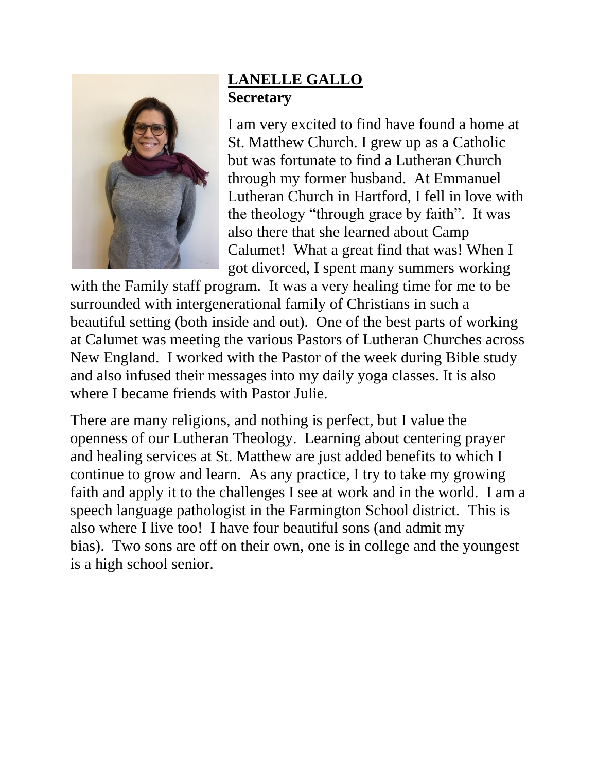

# **LANELLE GALLO Secretary**

I am very excited to find have found a home at St. Matthew Church. I grew up as a Catholic but was fortunate to find a Lutheran Church through my former husband. At Emmanuel Lutheran Church in Hartford, I fell in love with the theology "through grace by faith". It was also there that she learned about Camp Calumet! What a great find that was! When I got divorced, I spent many summers working

with the Family staff program. It was a very healing time for me to be surrounded with intergenerational family of Christians in such a beautiful setting (both inside and out). One of the best parts of working at Calumet was meeting the various Pastors of Lutheran Churches across New England. I worked with the Pastor of the week during Bible study and also infused their messages into my daily yoga classes. It is also where I became friends with Pastor Julie.

There are many religions, and nothing is perfect, but I value the openness of our Lutheran Theology. Learning about centering prayer and healing services at St. Matthew are just added benefits to which I continue to grow and learn. As any practice, I try to take my growing faith and apply it to the challenges I see at work and in the world. I am a speech language pathologist in the Farmington School district. This is also where I live too! I have four beautiful sons (and admit my bias). Two sons are off on their own, one is in college and the youngest is a high school senior.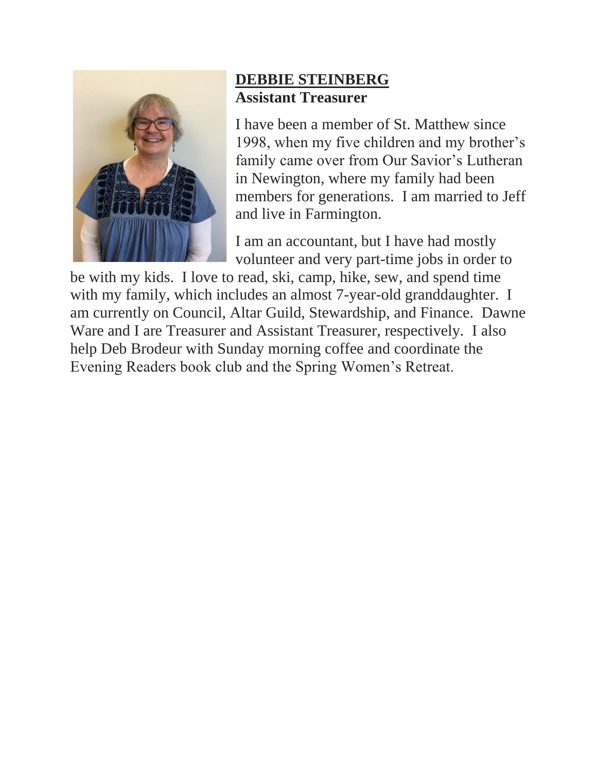

## **DEBBIE STEINBERG Assistant Treasurer**

I have been a member of St. Matthew since 1998, when my five children and my brother's family came over from Our Savior's Lutheran in Newington, where my family had been members for generations. I am married to Jeff and live in Farmington.

I am an accountant, but I have had mostly volunteer and very part-time jobs in order to

be with my kids. I love to read, ski, camp, hike, sew, and spend time with my family, which includes an almost 7-year-old granddaughter. I am currently on Council, Altar Guild, Stewardship, and Finance. Dawne Ware and I are Treasurer and Assistant Treasurer, respectively. I also help Deb Brodeur with Sunday morning coffee and coordinate the Evening Readers book club and the Spring Women's Retreat.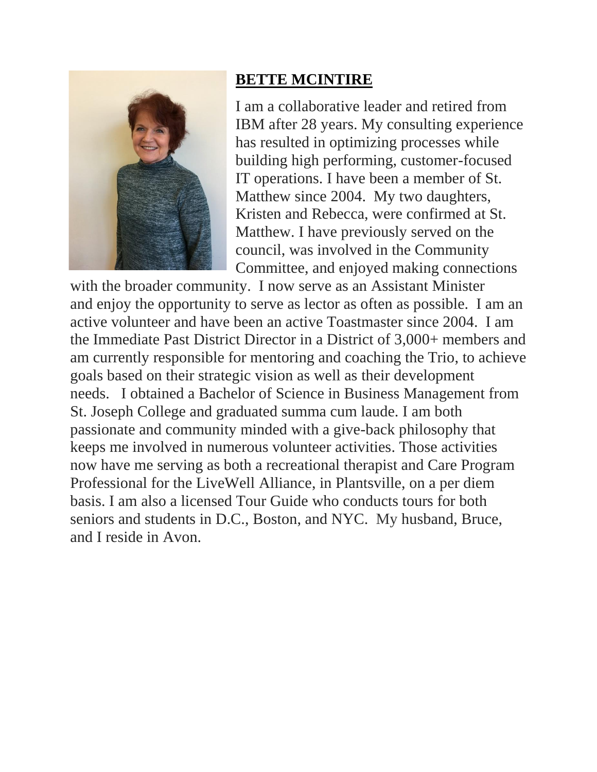

### **BETTE MCINTIRE**

I am a collaborative leader and retired from IBM after 28 years. My consulting experience has resulted in optimizing processes while building high performing, customer-focused IT operations. I have been a member of St. Matthew since 2004. My two daughters, Kristen and Rebecca, were confirmed at St. Matthew. I have previously served on the council, was involved in the Community Committee, and enjoyed making connections

with the broader community. I now serve as an Assistant Minister and enjoy the opportunity to serve as lector as often as possible. I am an active volunteer and have been an active Toastmaster since 2004. I am the Immediate Past District Director in a District of 3,000+ members and am currently responsible for mentoring and coaching the Trio, to achieve goals based on their strategic vision as well as their development needs. I obtained a Bachelor of Science in Business Management from St. Joseph College and graduated summa cum laude. I am both passionate and community minded with a give-back philosophy that keeps me involved in numerous volunteer activities. Those activities now have me serving as both a recreational therapist and Care Program Professional for the LiveWell Alliance, in Plantsville, on a per diem basis. I am also a licensed Tour Guide who conducts tours for both seniors and students in D.C., Boston, and NYC. My husband, Bruce, and I reside in Avon.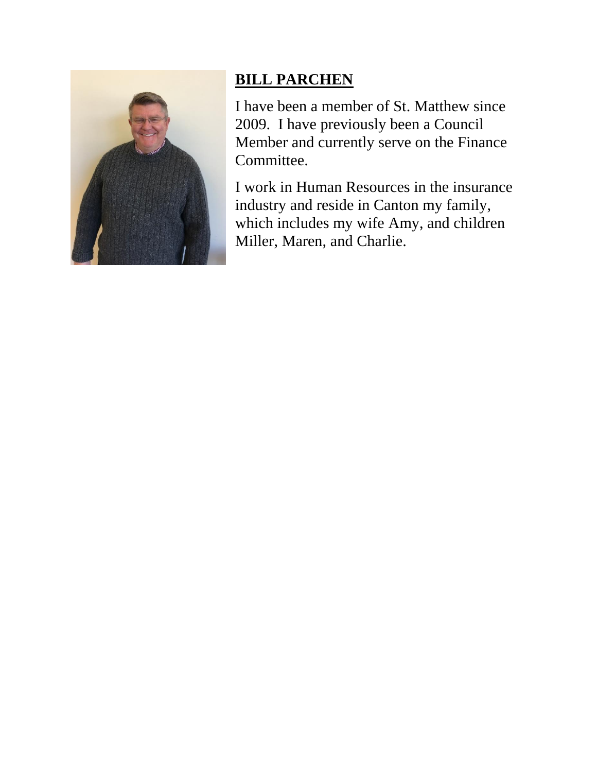

# **BILL PARCHEN**

I have been a member of St. Matthew since 2009. I have previously been a Council Member and currently serve on the Finance Committee.

I work in Human Resources in the insurance industry and reside in Canton my family, which includes my wife Amy, and children Miller, Maren, and Charlie.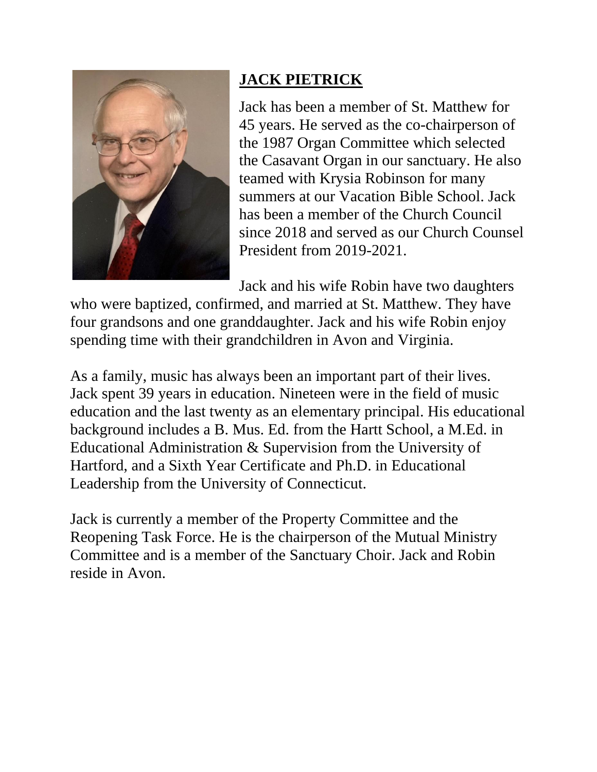

# **JACK PIETRICK**

Jack has been a member of St. Matthew for 45 years. He served as the co-chairperson of the 1987 Organ Committee which selected the Casavant Organ in our sanctuary. He also teamed with Krysia Robinson for many summers at our Vacation Bible School. Jack has been a member of the Church Council since 2018 and served as our Church Counsel President from 2019-2021.

Jack and his wife Robin have two daughters

who were baptized, confirmed, and married at St. Matthew. They have four grandsons and one granddaughter. Jack and his wife Robin enjoy spending time with their grandchildren in Avon and Virginia.

As a family, music has always been an important part of their lives. Jack spent 39 years in education. Nineteen were in the field of music education and the last twenty as an elementary principal. His educational background includes a B. Mus. Ed. from the Hartt School, a M.Ed. in Educational Administration & Supervision from the University of Hartford, and a Sixth Year Certificate and Ph.D. in Educational Leadership from the University of Connecticut.

Jack is currently a member of the Property Committee and the Reopening Task Force. He is the chairperson of the Mutual Ministry Committee and is a member of the Sanctuary Choir. Jack and Robin reside in Avon.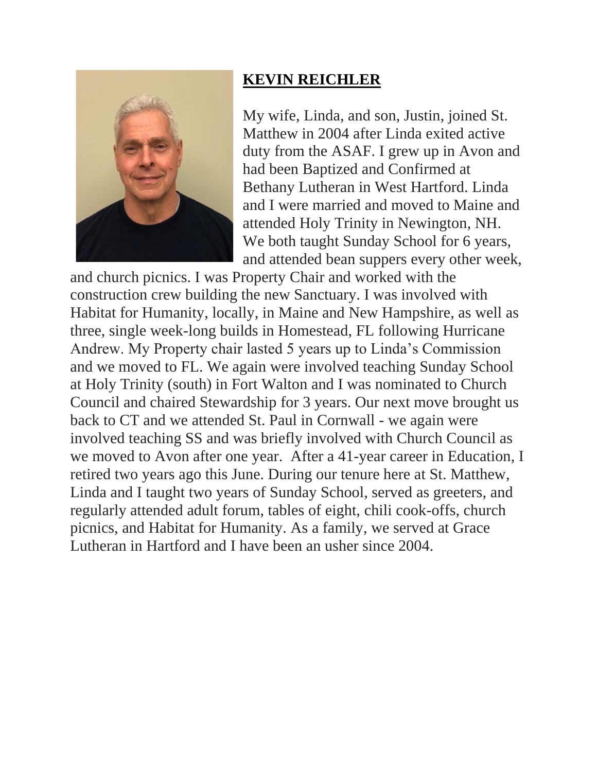

## **KEVIN REICHLER**

My wife, Linda, and son, Justin, joined St. Matthew in 2004 after Linda exited active duty from the ASAF. I grew up in Avon and had been Baptized and Confirmed at Bethany Lutheran in West Hartford. Linda and I were married and moved to Maine and attended Holy Trinity in Newington, NH. We both taught Sunday School for 6 years, and attended bean suppers every other week,

and church picnics. I was Property Chair and worked with the construction crew building the new Sanctuary. I was involved with Habitat for Humanity, locally, in Maine and New Hampshire, as well as three, single week-long builds in Homestead, FL following Hurricane Andrew. My Property chair lasted 5 years up to Linda's Commission and we moved to FL. We again were involved teaching Sunday School at Holy Trinity (south) in Fort Walton and I was nominated to Church Council and chaired Stewardship for 3 years. Our next move brought us back to CT and we attended St. Paul in Cornwall - we again were involved teaching SS and was briefly involved with Church Council as we moved to Avon after one year. After a 41-year career in Education, I retired two years ago this June. During our tenure here at St. Matthew, Linda and I taught two years of Sunday School, served as greeters, and regularly attended adult forum, tables of eight, chili cook-offs, church picnics, and Habitat for Humanity. As a family, we served at Grace Lutheran in Hartford and I have been an usher since 2004.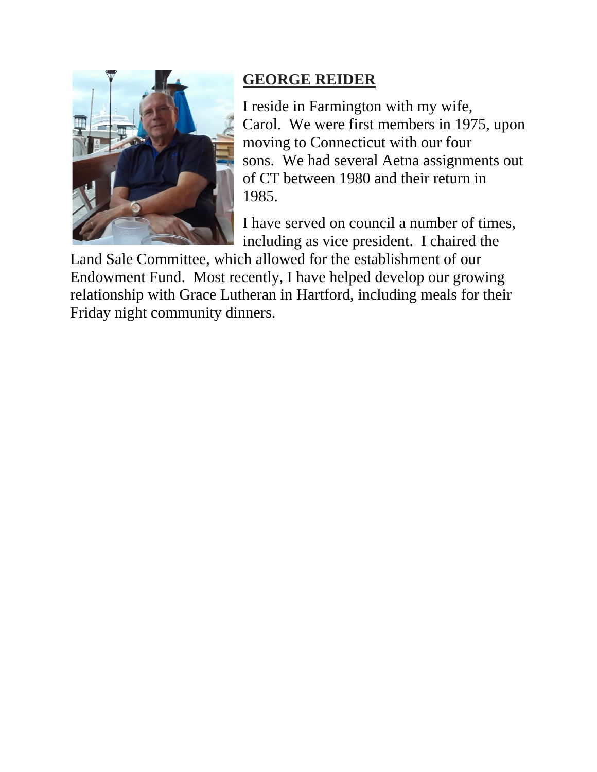

### **GEORGE REIDER**

I reside in Farmington with my wife, Carol. We were first members in 1975, upon moving to Connecticut with our four sons. We had several Aetna assignments out of CT between 1980 and their return in 1985.

I have served on council a number of times, including as vice president. I chaired the

Land Sale Committee, which allowed for the establishment of our Endowment Fund. Most recently, I have helped develop our growing relationship with Grace Lutheran in Hartford, including meals for their Friday night community dinners.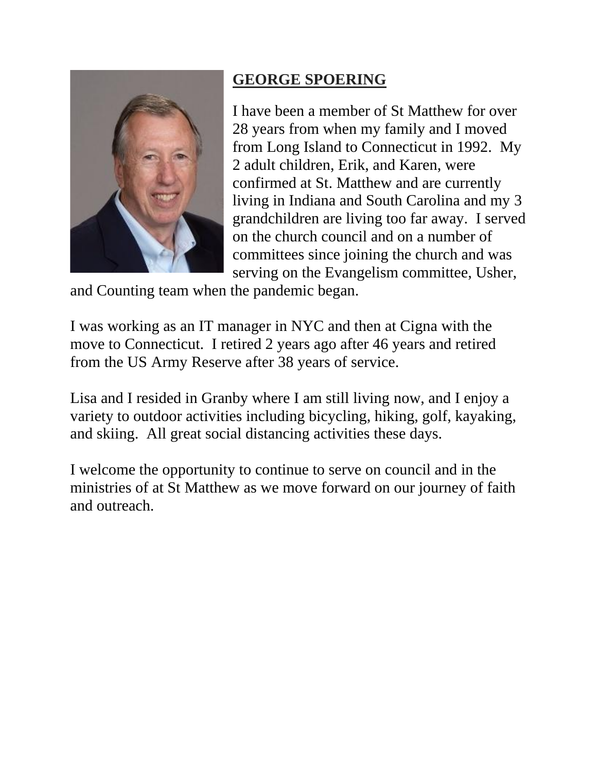

# **GEORGE SPOERING**

I have been a member of St Matthew for over 28 years from when my family and I moved from Long Island to Connecticut in 1992. My 2 adult children, Erik, and Karen, were confirmed at St. Matthew and are currently living in Indiana and South Carolina and my 3 grandchildren are living too far away. I served on the church council and on a number of committees since joining the church and was serving on the Evangelism committee, Usher,

and Counting team when the pandemic began.

I was working as an IT manager in NYC and then at Cigna with the move to Connecticut. I retired 2 years ago after 46 years and retired from the US Army Reserve after 38 years of service.

Lisa and I resided in Granby where I am still living now, and I enjoy a variety to outdoor activities including bicycling, hiking, golf, kayaking, and skiing. All great social distancing activities these days.

I welcome the opportunity to continue to serve on council and in the ministries of at St Matthew as we move forward on our journey of faith and outreach.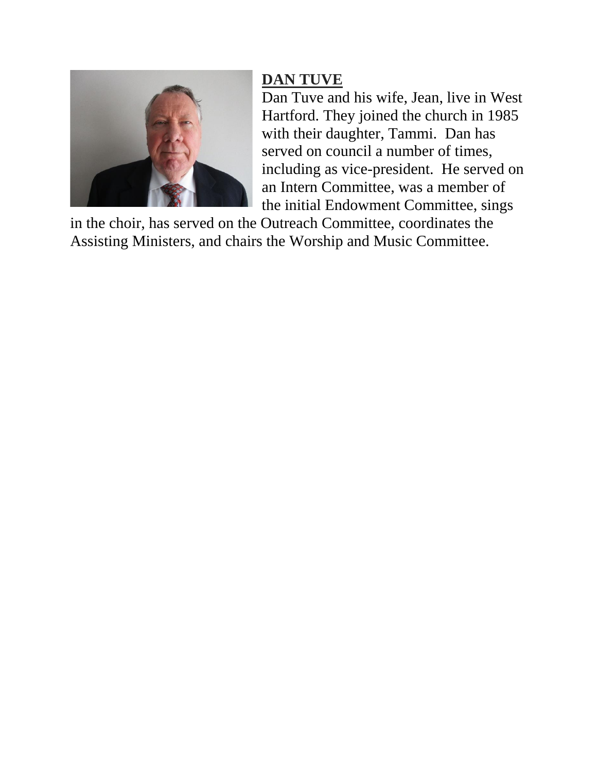

## **DAN TUVE**

Dan Tuve and his wife, Jean, live in West Hartford. They joined the church in 1985 with their daughter, Tammi. Dan has served on council a number of times, including as vice-president. He served on an Intern Committee, was a member of the initial Endowment Committee, sings

in the choir, has served on the Outreach Committee, coordinates the Assisting Ministers, and chairs the Worship and Music Committee.